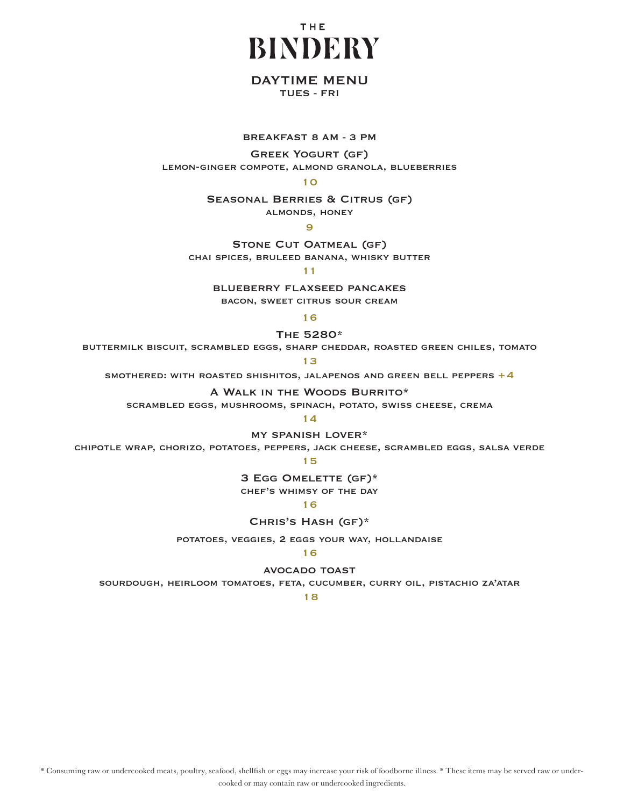

# DAYTIME MENU

TUES - FRI

### breakfast 8 AM - 3 PM

Greek Yogurt (gf) lemon-ginger compote, almond granola, blueberries

10

Seasonal Berries & Citrus (gf) almonds, honey

9

STONE CUT OATMEAL (GF) chai spices, bruleed banana, whisky butter

11

blueberry flaxseed pancakes bacon, sweet citrus sour cream

16

The 5280\*

buttermilk biscuit, scrambled eggs, sharp cheddar, roasted green chiles, tomato

13

SMOTHERED: WITH ROASTED SHISHITOS, JALAPENOS AND GREEN BELL PEPPERS  $+4$ 

A Walk in the Woods Burrito\*

scrambled eggs, mushrooms, spinach, potato, swiss cheese, crema

14

my spanish lover\*

chipotle wrap, chorizo, potatoes, peppers, jack cheese, scrambled eggs, salsa verde

15

3 Egg Omelette (gf)\*

chef's whimsy of the day

16

Chris's Hash (gf)\*

potatoes, veggies, 2 eggs your way, hollandaise

## 16

avocado toast

sourdough, heirloom tomatoes, feta, cucumber, curry oil, pistachio za'atar

18